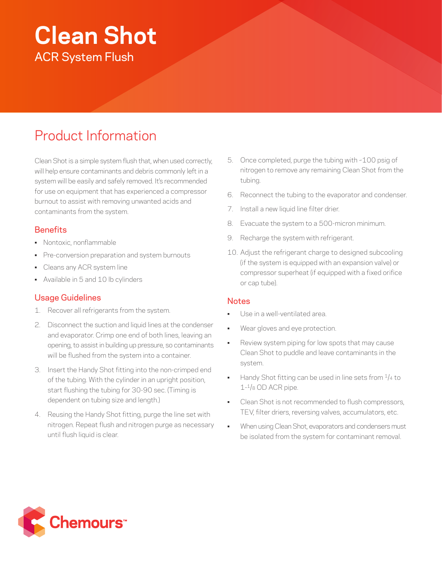# **Clean Shot** ACR System Flush

## Product Information

Clean Shot is a simple system flush that, when used correctly, will help ensure contaminants and debris commonly left in a system will be easily and safely removed. It's recommended for use on equipment that has experienced a compressor burnout to assist with removing unwanted acids and contaminants from the system.

#### **Benefits**

- Nontoxic, nonflammable
- Pre-conversion preparation and system burnouts
- Cleans any ACR system line
- Available in 5 and 10 lb cylinders

#### Usage Guidelines

- 1. Recover all refrigerants from the system.
- 2. Disconnect the suction and liquid lines at the condenser and evaporator. Crimp one end of both lines, leaving an opening, to assist in building up pressure, so contaminants will be flushed from the system into a container.
- 3. Insert the Handy Shot fitting into the non-crimped end of the tubing. With the cylinder in an upright position, start flushing the tubing for 30-90 sec. (Timing is dependent on tubing size and length.)
- 4. Reusing the Handy Shot fitting, purge the line set with nitrogen. Repeat flush and nitrogen purge as necessary until flush liquid is clear.
- 5. Once completed, purge the tubing with ~100 psig of nitrogen to remove any remaining Clean Shot from the tubing.
- 6. Reconnect the tubing to the evaporator and condenser.
- 7. Install a new liquid line filter drier.
- 8. Evacuate the system to a 500-micron minimum.
- 9. Recharge the system with refrigerant.
- 10. Adjust the refrigerant charge to designed subcooling (if the system is equipped with an expansion valve) or compressor superheat (if equipped with a fixed orifice or cap tube).

#### **Notes**

- Use in a well-ventilated area.
- Wear gloves and eye protection.
- Review system piping for low spots that may cause Clean Shot to puddle and leave contaminants in the system.
- Handy Shot fitting can be used in line sets from  $\frac{1}{4}$  to  $1<sup>-1</sup>/8$  OD ACR pipe.
- Clean Shot is not recommended to flush compressors, TEV, filter driers, reversing valves, accumulators, etc.
- When using Clean Shot, evaporators and condensers must be isolated from the system for contaminant removal.